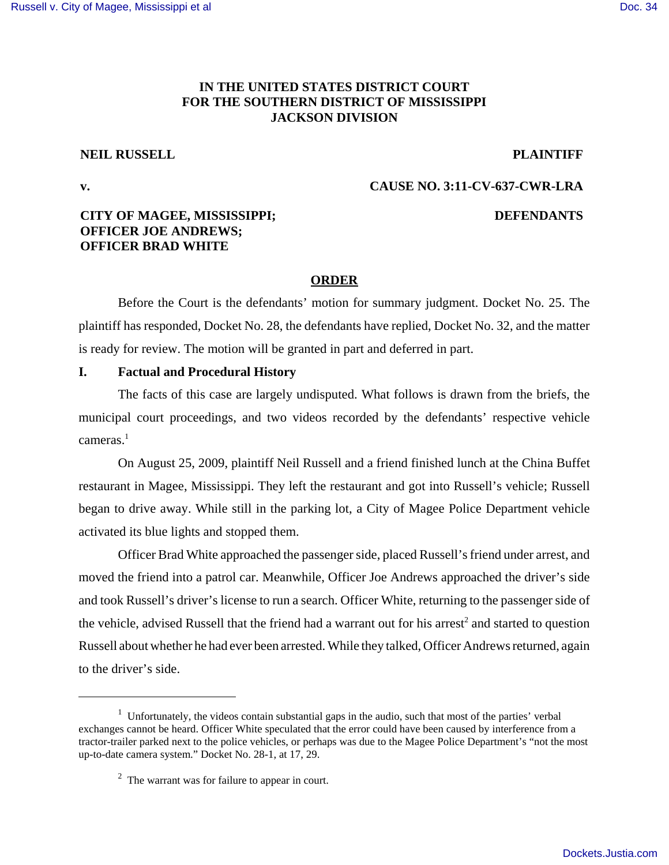## **IN THE UNITED STATES DISTRICT COURT FOR THE SOUTHERN DISTRICT OF MISSISSIPPI JACKSON DIVISION**

#### **NEIL RUSSELL PLAINTIFF**

#### **v. CAUSE NO. 3:11-CV-637-CWR-LRA**

### **CITY OF MAGEE, MISSISSIPPI; OFFICER JOE ANDREWS; OFFICER BRAD WHITE**

#### **DEFENDANTS**

#### **ORDER**

Before the Court is the defendants' motion for summary judgment. Docket No. 25. The plaintiff has responded, Docket No. 28, the defendants have replied, Docket No. 32, and the matter is ready for review. The motion will be granted in part and deferred in part.

#### **I. Factual and Procedural History**

The facts of this case are largely undisputed. What follows is drawn from the briefs, the municipal court proceedings, and two videos recorded by the defendants' respective vehicle cameras.<sup>1</sup>

On August 25, 2009, plaintiff Neil Russell and a friend finished lunch at the China Buffet restaurant in Magee, Mississippi. They left the restaurant and got into Russell's vehicle; Russell began to drive away. While still in the parking lot, a City of Magee Police Department vehicle activated its blue lights and stopped them.

Officer Brad White approached the passenger side, placed Russell's friend under arrest, and moved the friend into a patrol car. Meanwhile, Officer Joe Andrews approached the driver's side and took Russell's driver's license to run a search. Officer White, returning to the passenger side of the vehicle, advised Russell that the friend had a warrant out for his arrest<sup>2</sup> and started to question Russell about whether he had ever been arrested. While they talked, Officer Andrews returned, again to the driver's side.

 $1$  Unfortunately, the videos contain substantial gaps in the audio, such that most of the parties' verbal exchanges cannot be heard. Officer White speculated that the error could have been caused by interference from a tractor-trailer parked next to the police vehicles, or perhaps was due to the Magee Police Department's "not the most up-to-date camera system." Docket No. 28-1, at 17, 29.

 $2<sup>2</sup>$  The warrant was for failure to appear in court.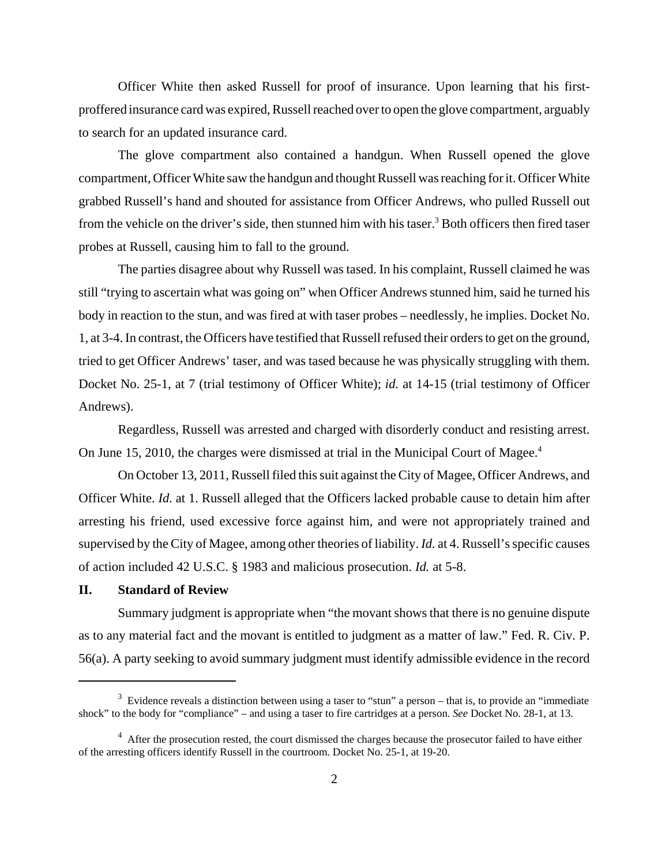Officer White then asked Russell for proof of insurance. Upon learning that his firstproffered insurance card was expired, Russell reached over to open the glove compartment, arguably to search for an updated insurance card.

The glove compartment also contained a handgun. When Russell opened the glove compartment, Officer White saw the handgun and thought Russell was reaching for it. Officer White grabbed Russell's hand and shouted for assistance from Officer Andrews, who pulled Russell out from the vehicle on the driver's side, then stunned him with his taser.<sup>3</sup> Both officers then fired taser probes at Russell, causing him to fall to the ground.

The parties disagree about why Russell was tased. In his complaint, Russell claimed he was still "trying to ascertain what was going on" when Officer Andrews stunned him, said he turned his body in reaction to the stun, and was fired at with taser probes – needlessly, he implies. Docket No. 1, at 3-4. In contrast, the Officers have testified that Russell refused their orders to get on the ground, tried to get Officer Andrews' taser, and was tased because he was physically struggling with them. Docket No. 25-1, at 7 (trial testimony of Officer White); *id.* at 14-15 (trial testimony of Officer Andrews).

Regardless, Russell was arrested and charged with disorderly conduct and resisting arrest. On June 15, 2010, the charges were dismissed at trial in the Municipal Court of Magee.<sup>4</sup>

On October 13, 2011, Russell filed this suit against the City of Magee, Officer Andrews, and Officer White. *Id.* at 1. Russell alleged that the Officers lacked probable cause to detain him after arresting his friend, used excessive force against him, and were not appropriately trained and supervised by the City of Magee, among other theories of liability. *Id.* at 4. Russell's specific causes of action included 42 U.S.C. § 1983 and malicious prosecution. *Id.* at 5-8.

#### **II. Standard of Review**

Summary judgment is appropriate when "the movant shows that there is no genuine dispute as to any material fact and the movant is entitled to judgment as a matter of law." Fed. R. Civ. P. 56(a). A party seeking to avoid summary judgment must identify admissible evidence in the record

 $3$  Evidence reveals a distinction between using a taser to "stun" a person – that is, to provide an "immediate shock" to the body for "compliance" – and using a taser to fire cartridges at a person. *See* Docket No. 28-1, at 13.

<sup>&</sup>lt;sup>4</sup> After the prosecution rested, the court dismissed the charges because the prosecutor failed to have either of the arresting officers identify Russell in the courtroom. Docket No. 25-1, at 19-20.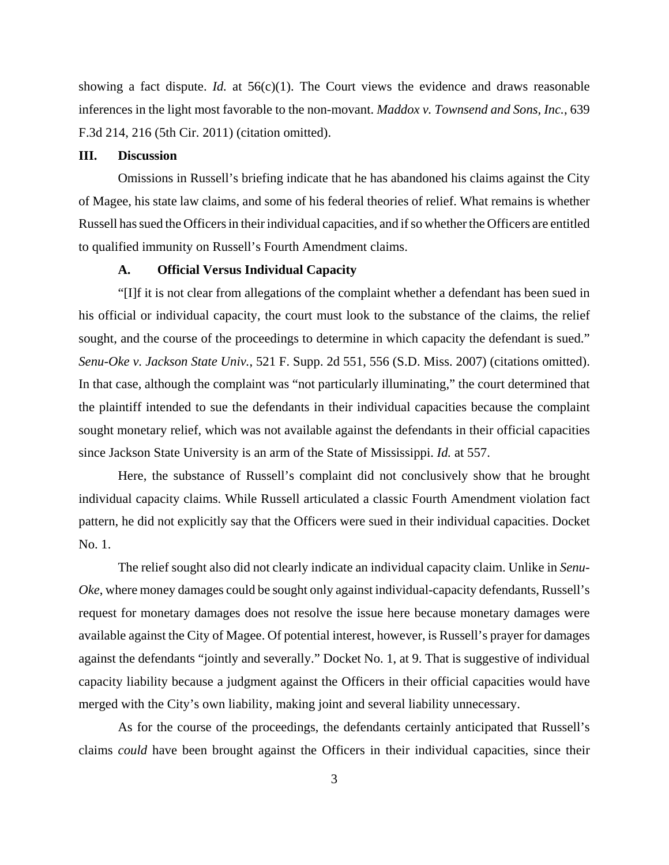showing a fact dispute. *Id.* at 56(c)(1). The Court views the evidence and draws reasonable inferences in the light most favorable to the non-movant. *Maddox v. Townsend and Sons, Inc.*, 639 F.3d 214, 216 (5th Cir. 2011) (citation omitted).

#### **III. Discussion**

Omissions in Russell's briefing indicate that he has abandoned his claims against the City of Magee, his state law claims, and some of his federal theories of relief. What remains is whether Russell has sued the Officers in their individual capacities, and if so whether the Officers are entitled to qualified immunity on Russell's Fourth Amendment claims.

#### **A. Official Versus Individual Capacity**

"[I]f it is not clear from allegations of the complaint whether a defendant has been sued in his official or individual capacity, the court must look to the substance of the claims, the relief sought, and the course of the proceedings to determine in which capacity the defendant is sued." *Senu-Oke v. Jackson State Univ.*, 521 F. Supp. 2d 551, 556 (S.D. Miss. 2007) (citations omitted). In that case, although the complaint was "not particularly illuminating," the court determined that the plaintiff intended to sue the defendants in their individual capacities because the complaint sought monetary relief, which was not available against the defendants in their official capacities since Jackson State University is an arm of the State of Mississippi. *Id.* at 557.

Here, the substance of Russell's complaint did not conclusively show that he brought individual capacity claims. While Russell articulated a classic Fourth Amendment violation fact pattern, he did not explicitly say that the Officers were sued in their individual capacities. Docket No. 1.

The relief sought also did not clearly indicate an individual capacity claim. Unlike in *Senu-Oke*, where money damages could be sought only against individual-capacity defendants, Russell's request for monetary damages does not resolve the issue here because monetary damages were available against the City of Magee. Of potential interest, however, is Russell's prayer for damages against the defendants "jointly and severally." Docket No. 1, at 9. That is suggestive of individual capacity liability because a judgment against the Officers in their official capacities would have merged with the City's own liability, making joint and several liability unnecessary.

As for the course of the proceedings, the defendants certainly anticipated that Russell's claims *could* have been brought against the Officers in their individual capacities, since their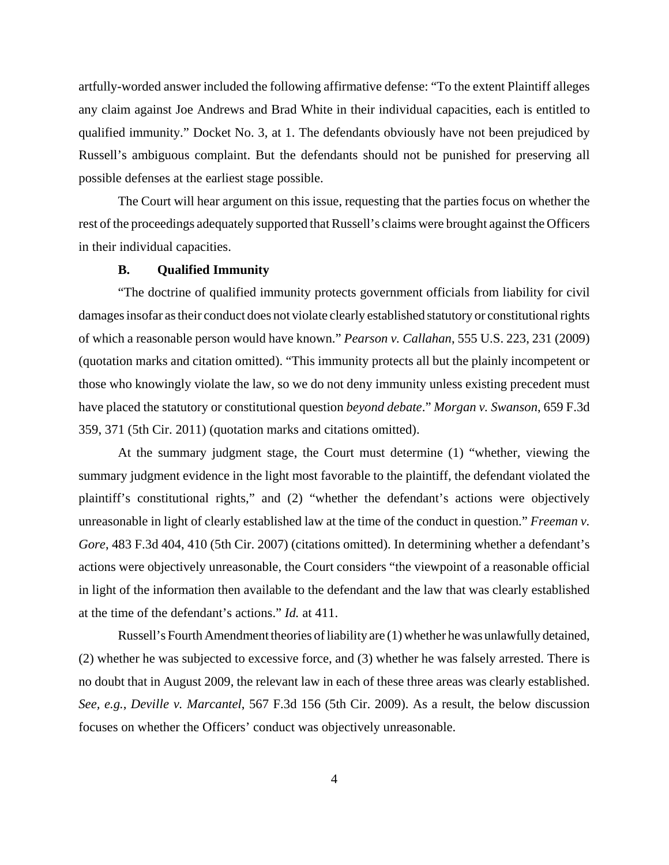artfully-worded answer included the following affirmative defense: "To the extent Plaintiff alleges any claim against Joe Andrews and Brad White in their individual capacities, each is entitled to qualified immunity." Docket No. 3, at 1. The defendants obviously have not been prejudiced by Russell's ambiguous complaint. But the defendants should not be punished for preserving all possible defenses at the earliest stage possible.

The Court will hear argument on this issue, requesting that the parties focus on whether the rest of the proceedings adequately supported that Russell's claims were brought against the Officers in their individual capacities.

#### **B. Qualified Immunity**

"The doctrine of qualified immunity protects government officials from liability for civil damages insofar as their conduct does not violate clearly established statutory or constitutional rights of which a reasonable person would have known." *Pearson v. Callahan*, 555 U.S. 223, 231 (2009) (quotation marks and citation omitted). "This immunity protects all but the plainly incompetent or those who knowingly violate the law, so we do not deny immunity unless existing precedent must have placed the statutory or constitutional question *beyond debate*." *Morgan v. Swanson*, 659 F.3d 359, 371 (5th Cir. 2011) (quotation marks and citations omitted).

At the summary judgment stage, the Court must determine (1) "whether, viewing the summary judgment evidence in the light most favorable to the plaintiff, the defendant violated the plaintiff's constitutional rights," and (2) "whether the defendant's actions were objectively unreasonable in light of clearly established law at the time of the conduct in question." *Freeman v. Gore*, 483 F.3d 404, 410 (5th Cir. 2007) (citations omitted). In determining whether a defendant's actions were objectively unreasonable, the Court considers "the viewpoint of a reasonable official in light of the information then available to the defendant and the law that was clearly established at the time of the defendant's actions." *Id.* at 411.

Russell's Fourth Amendment theories of liability are (1) whether he was unlawfully detained, (2) whether he was subjected to excessive force, and (3) whether he was falsely arrested. There is no doubt that in August 2009, the relevant law in each of these three areas was clearly established. *See, e.g.*, *Deville v. Marcantel*, 567 F.3d 156 (5th Cir. 2009). As a result, the below discussion focuses on whether the Officers' conduct was objectively unreasonable.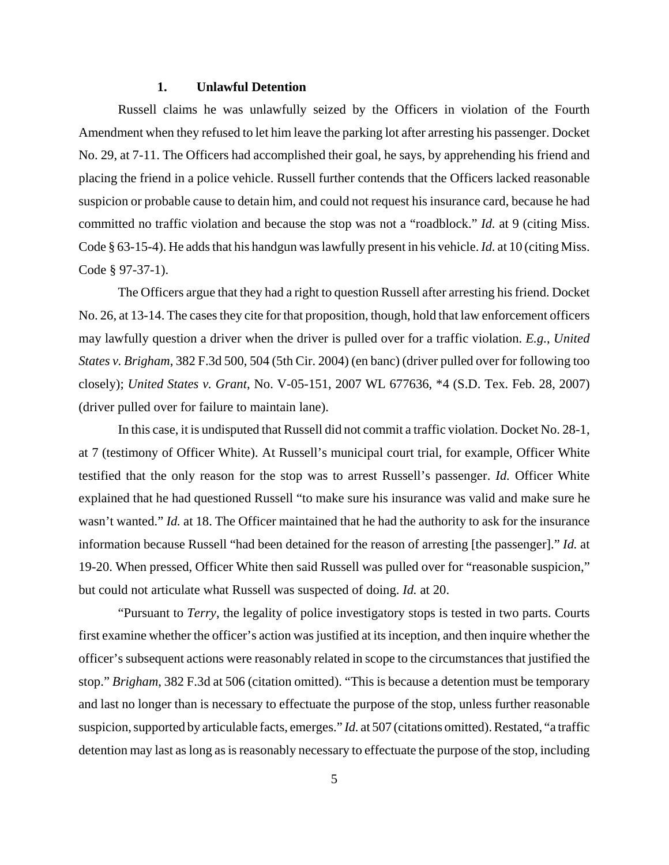#### **1. Unlawful Detention**

Russell claims he was unlawfully seized by the Officers in violation of the Fourth Amendment when they refused to let him leave the parking lot after arresting his passenger. Docket No. 29, at 7-11. The Officers had accomplished their goal, he says, by apprehending his friend and placing the friend in a police vehicle. Russell further contends that the Officers lacked reasonable suspicion or probable cause to detain him, and could not request his insurance card, because he had committed no traffic violation and because the stop was not a "roadblock." *Id.* at 9 (citing Miss. Code § 63-15-4). He addsthat his handgun waslawfully present in his vehicle.*Id.* at 10 (citing Miss. Code § 97-37-1).

The Officers argue that they had a right to question Russell after arresting his friend. Docket No. 26, at 13-14. The cases they cite for that proposition, though, hold that law enforcement officers may lawfully question a driver when the driver is pulled over for a traffic violation. *E.g.*, *United States v. Brigham*, 382 F.3d 500, 504 (5th Cir. 2004) (en banc) (driver pulled over for following too closely); *United States v. Grant*, No. V-05-151, 2007 WL 677636, \*4 (S.D. Tex. Feb. 28, 2007) (driver pulled over for failure to maintain lane).

In this case, it is undisputed that Russell did not commit a traffic violation. Docket No. 28-1, at 7 (testimony of Officer White). At Russell's municipal court trial, for example, Officer White testified that the only reason for the stop was to arrest Russell's passenger. *Id.* Officer White explained that he had questioned Russell "to make sure his insurance was valid and make sure he wasn't wanted." *Id.* at 18. The Officer maintained that he had the authority to ask for the insurance information because Russell "had been detained for the reason of arresting [the passenger]." *Id.* at 19-20. When pressed, Officer White then said Russell was pulled over for "reasonable suspicion," but could not articulate what Russell was suspected of doing. *Id.* at 20.

"Pursuant to *Terry*, the legality of police investigatory stops is tested in two parts. Courts first examine whether the officer's action was justified at its inception, and then inquire whether the officer's subsequent actions were reasonably related in scope to the circumstances that justified the stop." *Brigham*, 382 F.3d at 506 (citation omitted). "This is because a detention must be temporary and last no longer than is necessary to effectuate the purpose of the stop, unless further reasonable suspicion, supported by articulable facts, emerges." *Id.* at 507 (citations omitted). Restated, "a traffic detention may last as long as is reasonably necessary to effectuate the purpose of the stop, including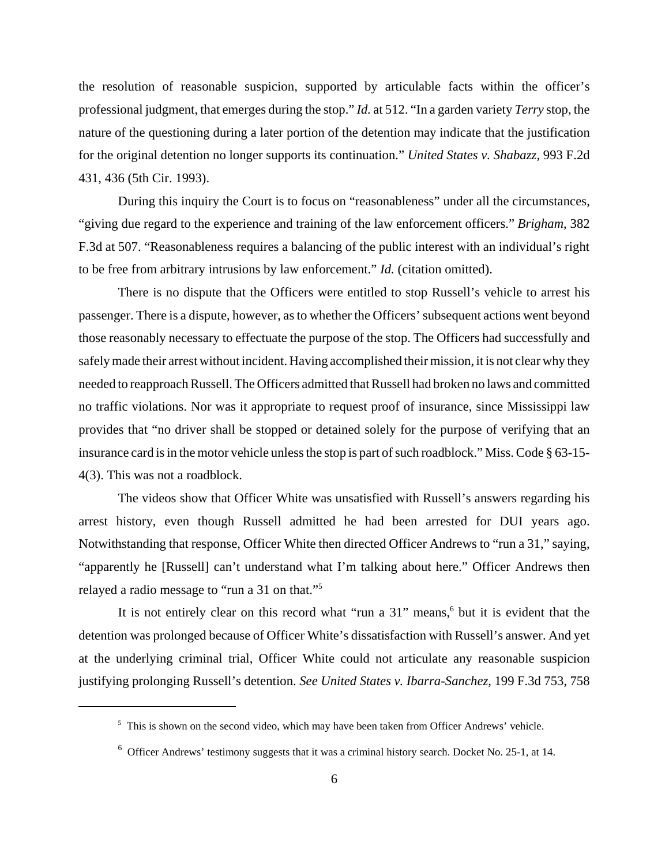the resolution of reasonable suspicion, supported by articulable facts within the officer's professional judgment, that emerges during the stop." *Id.* at 512. "In a garden variety *Terry* stop, the nature of the questioning during a later portion of the detention may indicate that the justification for the original detention no longer supports its continuation." *United States v. Shabazz*, 993 F.2d 431, 436 (5th Cir. 1993).

During this inquiry the Court is to focus on "reasonableness" under all the circumstances, "giving due regard to the experience and training of the law enforcement officers." *Brigham*, 382 F.3d at 507. "Reasonableness requires a balancing of the public interest with an individual's right to be free from arbitrary intrusions by law enforcement." *Id.* (citation omitted).

There is no dispute that the Officers were entitled to stop Russell's vehicle to arrest his passenger. There is a dispute, however, as to whether the Officers' subsequent actions went beyond those reasonably necessary to effectuate the purpose of the stop. The Officers had successfully and safely made their arrest without incident. Having accomplished their mission, it is not clear why they needed to reapproach Russell. The Officers admitted that Russell had broken no laws and committed no traffic violations. Nor was it appropriate to request proof of insurance, since Mississippi law provides that "no driver shall be stopped or detained solely for the purpose of verifying that an insurance card is in the motor vehicle unless the stop is part of such roadblock." Miss. Code § 63-15- 4(3). This was not a roadblock.

The videos show that Officer White was unsatisfied with Russell's answers regarding his arrest history, even though Russell admitted he had been arrested for DUI years ago. Notwithstanding that response, Officer White then directed Officer Andrews to "run a 31," saying, "apparently he [Russell] can't understand what I'm talking about here." Officer Andrews then relayed a radio message to "run a 31 on that."<sup>5</sup>

It is not entirely clear on this record what "run a 31" means,<sup>6</sup> but it is evident that the detention was prolonged because of Officer White's dissatisfaction with Russell's answer. And yet at the underlying criminal trial, Officer White could not articulate any reasonable suspicion justifying prolonging Russell's detention. *See United States v. Ibarra-Sanchez*, 199 F.3d 753, 758

<sup>&</sup>lt;sup>5</sup> This is shown on the second video, which may have been taken from Officer Andrews' vehicle.

 $6$  Officer Andrews' testimony suggests that it was a criminal history search. Docket No. 25-1, at 14.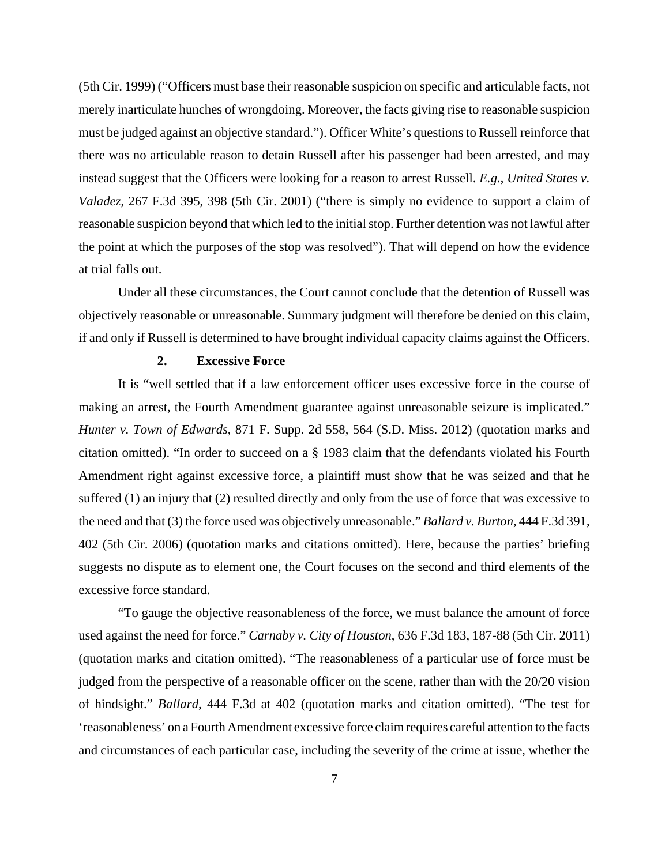(5th Cir. 1999) ("Officers must base their reasonable suspicion on specific and articulable facts, not merely inarticulate hunches of wrongdoing. Moreover, the facts giving rise to reasonable suspicion must be judged against an objective standard."). Officer White's questions to Russell reinforce that there was no articulable reason to detain Russell after his passenger had been arrested, and may instead suggest that the Officers were looking for a reason to arrest Russell. *E.g.*, *United States v. Valadez*, 267 F.3d 395, 398 (5th Cir. 2001) ("there is simply no evidence to support a claim of reasonable suspicion beyond that which led to the initial stop. Further detention was not lawful after the point at which the purposes of the stop was resolved"). That will depend on how the evidence at trial falls out.

Under all these circumstances, the Court cannot conclude that the detention of Russell was objectively reasonable or unreasonable. Summary judgment will therefore be denied on this claim, if and only if Russell is determined to have brought individual capacity claims against the Officers.

#### **2. Excessive Force**

It is "well settled that if a law enforcement officer uses excessive force in the course of making an arrest, the Fourth Amendment guarantee against unreasonable seizure is implicated." *Hunter v. Town of Edwards*, 871 F. Supp. 2d 558, 564 (S.D. Miss. 2012) (quotation marks and citation omitted). "In order to succeed on a § 1983 claim that the defendants violated his Fourth Amendment right against excessive force, a plaintiff must show that he was seized and that he suffered (1) an injury that (2) resulted directly and only from the use of force that was excessive to the need and that (3) the force used was objectively unreasonable." *Ballard v. Burton*, 444 F.3d 391, 402 (5th Cir. 2006) (quotation marks and citations omitted). Here, because the parties' briefing suggests no dispute as to element one, the Court focuses on the second and third elements of the excessive force standard.

"To gauge the objective reasonableness of the force, we must balance the amount of force used against the need for force." *Carnaby v. City of Houston*, 636 F.3d 183, 187-88 (5th Cir. 2011) (quotation marks and citation omitted). "The reasonableness of a particular use of force must be judged from the perspective of a reasonable officer on the scene, rather than with the 20/20 vision of hindsight." *Ballard*, 444 F.3d at 402 (quotation marks and citation omitted). "The test for 'reasonableness' on a Fourth Amendment excessive force claim requires careful attention to the facts and circumstances of each particular case, including the severity of the crime at issue, whether the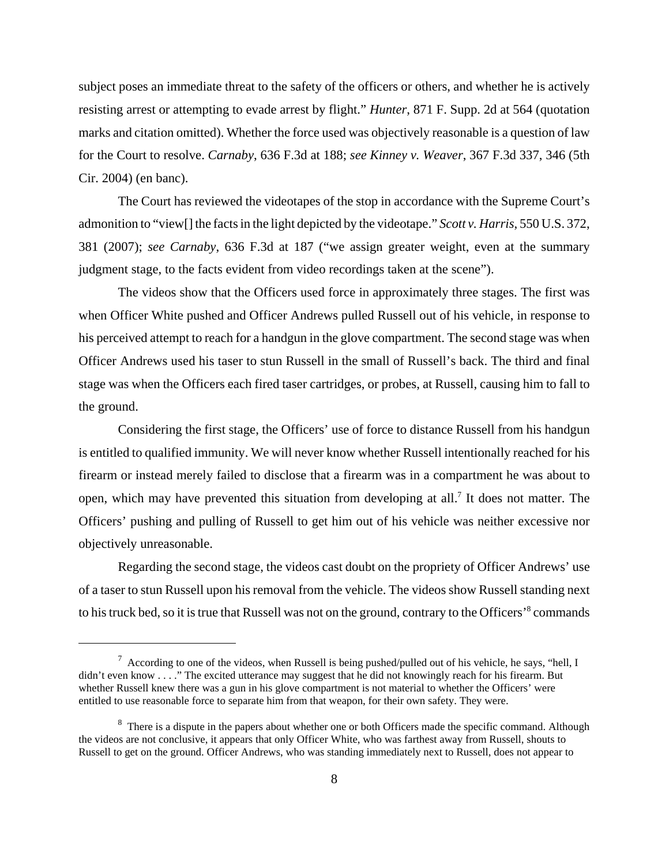subject poses an immediate threat to the safety of the officers or others, and whether he is actively resisting arrest or attempting to evade arrest by flight." *Hunter*, 871 F. Supp. 2d at 564 (quotation marks and citation omitted). Whether the force used was objectively reasonable is a question of law for the Court to resolve. *Carnaby*, 636 F.3d at 188; *see Kinney v. Weaver*, 367 F.3d 337, 346 (5th Cir. 2004) (en banc).

The Court has reviewed the videotapes of the stop in accordance with the Supreme Court's admonition to "view[] the facts in the light depicted by the videotape." *Scott v. Harris*, 550 U.S. 372, 381 (2007); *see Carnaby*, 636 F.3d at 187 ("we assign greater weight, even at the summary judgment stage, to the facts evident from video recordings taken at the scene").

The videos show that the Officers used force in approximately three stages. The first was when Officer White pushed and Officer Andrews pulled Russell out of his vehicle, in response to his perceived attempt to reach for a handgun in the glove compartment. The second stage was when Officer Andrews used his taser to stun Russell in the small of Russell's back. The third and final stage was when the Officers each fired taser cartridges, or probes, at Russell, causing him to fall to the ground.

Considering the first stage, the Officers' use of force to distance Russell from his handgun is entitled to qualified immunity. We will never know whether Russell intentionally reached for his firearm or instead merely failed to disclose that a firearm was in a compartment he was about to open, which may have prevented this situation from developing at all.<sup>7</sup> It does not matter. The Officers' pushing and pulling of Russell to get him out of his vehicle was neither excessive nor objectively unreasonable.

Regarding the second stage, the videos cast doubt on the propriety of Officer Andrews' use of a taser to stun Russell upon his removal from the vehicle. The videos show Russell standing next to his truck bed, so it is true that Russell was not on the ground, contrary to the Officers'<sup>8</sup> commands

 $^7$  According to one of the videos, when Russell is being pushed/pulled out of his vehicle, he says, "hell, I didn't even know . . . ." The excited utterance may suggest that he did not knowingly reach for his firearm. But whether Russell knew there was a gun in his glove compartment is not material to whether the Officers' were entitled to use reasonable force to separate him from that weapon, for their own safety. They were.

<sup>&</sup>lt;sup>8</sup> There is a dispute in the papers about whether one or both Officers made the specific command. Although the videos are not conclusive, it appears that only Officer White, who was farthest away from Russell, shouts to Russell to get on the ground. Officer Andrews, who was standing immediately next to Russell, does not appear to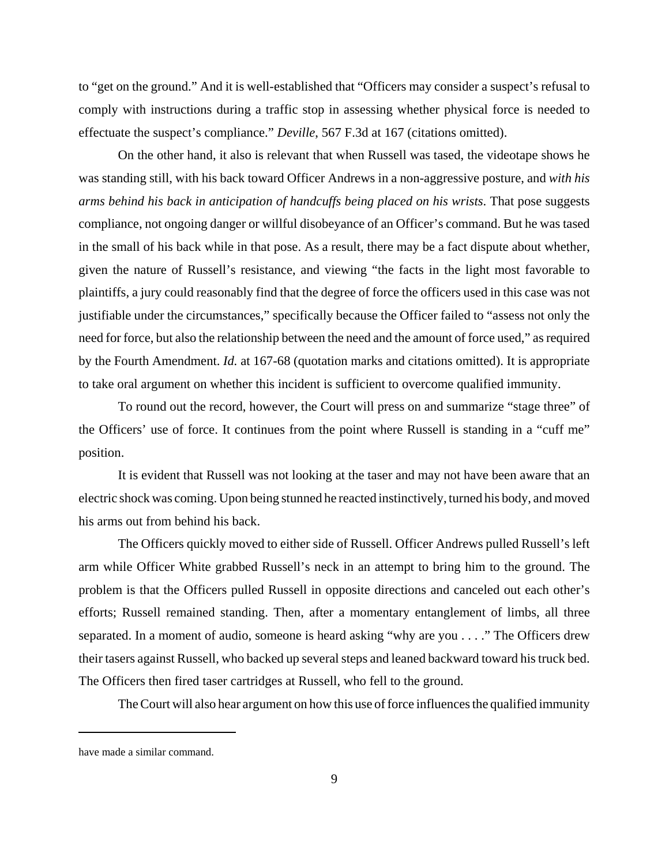to "get on the ground." And it is well-established that "Officers may consider a suspect's refusal to comply with instructions during a traffic stop in assessing whether physical force is needed to effectuate the suspect's compliance." *Deville*, 567 F.3d at 167 (citations omitted).

On the other hand, it also is relevant that when Russell was tased, the videotape shows he was standing still, with his back toward Officer Andrews in a non-aggressive posture, and *with his arms behind his back in anticipation of handcuffs being placed on his wrists*. That pose suggests compliance, not ongoing danger or willful disobeyance of an Officer's command. But he was tased in the small of his back while in that pose. As a result, there may be a fact dispute about whether, given the nature of Russell's resistance, and viewing "the facts in the light most favorable to plaintiffs, a jury could reasonably find that the degree of force the officers used in this case was not justifiable under the circumstances," specifically because the Officer failed to "assess not only the need for force, but also the relationship between the need and the amount of force used," as required by the Fourth Amendment. *Id.* at 167-68 (quotation marks and citations omitted). It is appropriate to take oral argument on whether this incident is sufficient to overcome qualified immunity.

To round out the record, however, the Court will press on and summarize "stage three" of the Officers' use of force. It continues from the point where Russell is standing in a "cuff me" position.

It is evident that Russell was not looking at the taser and may not have been aware that an electric shock was coming. Upon being stunned he reacted instinctively, turned his body, and moved his arms out from behind his back.

The Officers quickly moved to either side of Russell. Officer Andrews pulled Russell's left arm while Officer White grabbed Russell's neck in an attempt to bring him to the ground. The problem is that the Officers pulled Russell in opposite directions and canceled out each other's efforts; Russell remained standing. Then, after a momentary entanglement of limbs, all three separated. In a moment of audio, someone is heard asking "why are you . . . ." The Officers drew their tasers against Russell, who backed up several steps and leaned backward toward his truck bed. The Officers then fired taser cartridges at Russell, who fell to the ground.

The Court will also hear argument on how this use of force influences the qualified immunity

have made a similar command.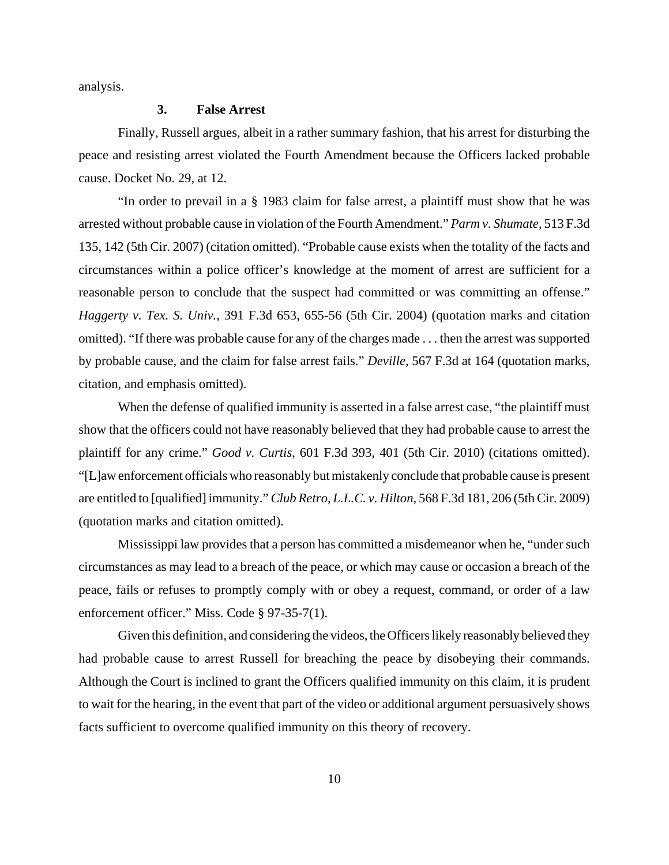analysis.

#### **3. False Arrest**

Finally, Russell argues, albeit in a rather summary fashion, that his arrest for disturbing the peace and resisting arrest violated the Fourth Amendment because the Officers lacked probable cause. Docket No. 29, at 12.

"In order to prevail in a § 1983 claim for false arrest, a plaintiff must show that he was arrested without probable cause in violation of the Fourth Amendment." *Parm v. Shumate*, 513 F.3d 135, 142 (5th Cir. 2007) (citation omitted). "Probable cause exists when the totality of the facts and circumstances within a police officer's knowledge at the moment of arrest are sufficient for a reasonable person to conclude that the suspect had committed or was committing an offense." *Haggerty v. Tex. S. Univ.*, 391 F.3d 653, 655-56 (5th Cir. 2004) (quotation marks and citation omitted). "If there was probable cause for any of the charges made . . . then the arrest was supported by probable cause, and the claim for false arrest fails." *Deville*, 567 F.3d at 164 (quotation marks, citation, and emphasis omitted).

When the defense of qualified immunity is asserted in a false arrest case, "the plaintiff must" show that the officers could not have reasonably believed that they had probable cause to arrest the plaintiff for any crime." *Good v. Curtis*, 601 F.3d 393, 401 (5th Cir. 2010) (citations omitted). "[L]aw enforcement officials who reasonably but mistakenly conclude that probable cause is present are entitled to [qualified] immunity." *Club Retro, L.L.C. v. Hilton*, 568 F.3d 181, 206 (5th Cir. 2009) (quotation marks and citation omitted).

Mississippi law provides that a person has committed a misdemeanor when he, "under such circumstances as may lead to a breach of the peace, or which may cause or occasion a breach of the peace, fails or refuses to promptly comply with or obey a request, command, or order of a law enforcement officer." Miss. Code § 97-35-7(1).

Given this definition, and considering the videos, the Officers likely reasonably believed they had probable cause to arrest Russell for breaching the peace by disobeying their commands. Although the Court is inclined to grant the Officers qualified immunity on this claim, it is prudent to wait for the hearing, in the event that part of the video or additional argument persuasively shows facts sufficient to overcome qualified immunity on this theory of recovery.